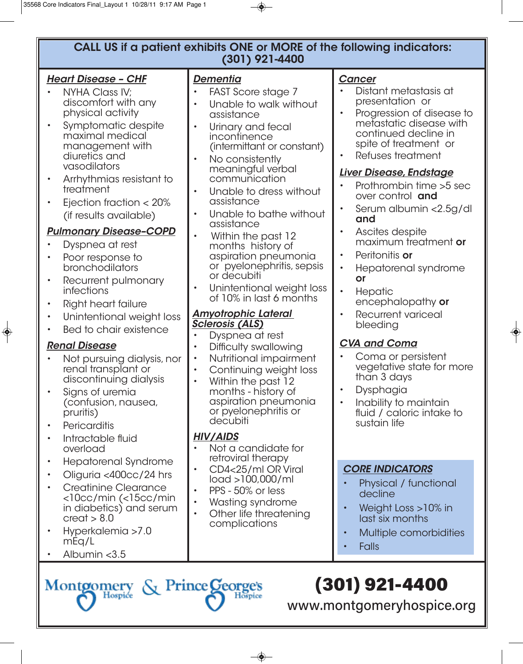## **CALL US if a patient exhibits ONE or MORE of the following indicators: (301) 921-4400**

#### *Heart Disease – CHF*

- NYHA Class IV; discomfort with any physical activity
- Symptomatic despite maximal medical management with diuretics and vasodilators
- Arrhythmias resistant to treatment
- Ejection fraction < 20% (if results available)

## *Pulmonary Disease–COPD*

- Dyspnea at rest
- Poor response to bronchodilators
- Recurrent pulmonary infections
- Right heart failure
- Unintentional weight loss
- Bed to chair existence

### *Renal Disease*

- Not pursuing dialysis, nor renal transplant or discontinuing dialysis
- Signs of uremia (confusion, nausea, pruritis)
- **Pericarditis**
- Intractable fluid overload
- Hepatorenal Syndrome
- Oliguria <400cc/24 hrs
- Creatinine Clearance <10cc/min (<15cc/min in diabetics) and serum  $creat > 8.0$
- Hyperkalemia >7.0 mEq/L
- Albumin <3.5

#### *Dementia*

- FAST Score stage 7
- Unable to walk without assistance
- Urinary and fecal incontinence (intermittant or constant)
- No consistently meaningful verbal communication
- Unable to dress without assistance
- Unable to bathe without assistance
- Within the past 12 months history of aspiration pneumonia or pyelonephritis, sepsis or decubiti
- Unintentional weight loss of 10% in last 6 months

#### *Amyotrophic Lateral Sclerosis (ALS)*

- Dyspnea at rest
- Difficulty swallowing
- Nutritional impairment
- Continuing weight loss
- Within the past 12 months - history of aspiration pneumonia or pyelonephritis or decubiti

### *HIV/AIDS*

- Not a candidate for retroviral therapy
- CD4<25/ml OR Viral load >100,000/ml
- PPS 50% or less
- Wasting syndrome<br>• Other life threatenii
- Other life threatening complications

#### *Cancer*

- Distant metastasis at presentation or
- Progression of disease to metastatic disease with continued decline in spite of treatment or
- Refuses treatment

#### *Liver Disease, Endstage*

- Prothrombin time >5 sec over control **and**
- Serum albumin <2.5g/dl **and**
- Ascites despite maximum treatment **or**
- Peritonitis **or**
- Hepatorenal syndrome **or**
- **Hepatic** encephalopathy **or**
- Recurrent variceal bleeding

# *CVA and Coma*

- Coma or persistent vegetative state for more than 3 days
- Dysphagia
- Inability to maintain fluid / caloric intake to sustain life

### *CORE INDICATORS*

- Physical / functional decline
- Weight Loss >10% in last six months
- Multiple comorbidities
- **Falls**

# (301) 921-4400

www.montgomeryhospice.org

Montgomery & Prince George's